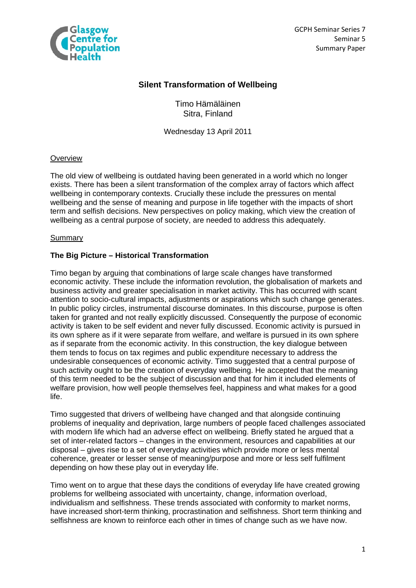

GCPH Seminar Series 7 Seminar 5 Summary Paper

# **Silent Transformation of Wellbeing**

Timo Hämäläinen Sitra, Finland

Wednesday 13 April 2011

# **Overview**

The old view of wellbeing is outdated having been generated in a world which no longer exists. There has been a silent transformation of the complex array of factors which affect wellbeing in contemporary contexts. Crucially these include the pressures on mental wellbeing and the sense of meaning and purpose in life together with the impacts of short term and selfish decisions. New perspectives on policy making, which view the creation of wellbeing as a central purpose of society, are needed to address this adequately.

#### **Summary**

# **The Big Picture – Historical Transformation**

Timo began by arguing that combinations of large scale changes have transformed economic activity. These include the information revolution, the globalisation of markets and business activity and greater specialisation in market activity. This has occurred with scant attention to socio-cultural impacts, adjustments or aspirations which such change generates. In public policy circles, instrumental discourse dominates. In this discourse, purpose is often taken for granted and not really explicitly discussed. Consequently the purpose of economic activity is taken to be self evident and never fully discussed. Economic activity is pursued in its own sphere as if it were separate from welfare, and welfare is pursued in its own sphere as if separate from the economic activity. In this construction, the key dialogue between them tends to focus on tax regimes and public expenditure necessary to address the undesirable consequences of economic activity. Timo suggested that a central purpose of such activity ought to be the creation of everyday wellbeing. He accepted that the meaning of this term needed to be the subject of discussion and that for him it included elements of welfare provision, how well people themselves feel, happiness and what makes for a good life.

Timo suggested that drivers of wellbeing have changed and that alongside continuing problems of inequality and deprivation, large numbers of people faced challenges associated with modern life which had an adverse effect on wellbeing. Briefly stated he argued that a set of inter-related factors – changes in the environment, resources and capabilities at our disposal – gives rise to a set of everyday activities which provide more or less mental coherence, greater or lesser sense of meaning/purpose and more or less self fulfilment depending on how these play out in everyday life.

Timo went on to argue that these days the conditions of everyday life have created growing problems for wellbeing associated with uncertainty, change, information overload, individualism and selfishness. These trends associated with conformity to market norms, have increased short-term thinking, procrastination and selfishness. Short term thinking and selfishness are known to reinforce each other in times of change such as we have now.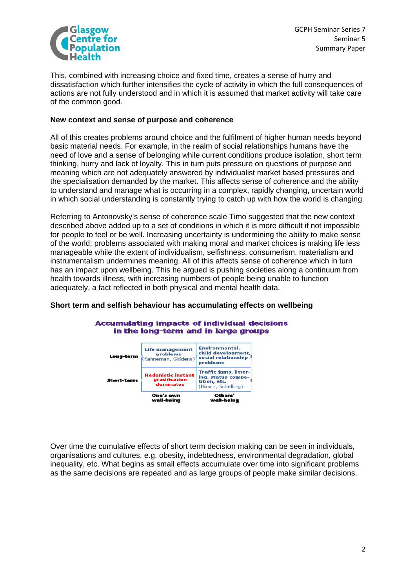

This, combined with increasing choice and fixed time, creates a sense of hurry and dissatisfaction which further intensifies the cycle of activity in which the full consequences of actions are not fully understood and in which it is assumed that market activity will take care of the common good.

## **New context and sense of purpose and coherence**

All of this creates problems around choice and the fulfilment of higher human needs beyond basic material needs. For example, in the realm of social relationships humans have the need of love and a sense of belonging while current conditions produce isolation, short term thinking, hurry and lack of loyalty. This in turn puts pressure on questions of purpose and meaning which are not adequately answered by individualist market based pressures and the specialisation demanded by the market. This affects sense of coherence and the ability to understand and manage what is occurring in a complex, rapidly changing, uncertain world in which social understanding is constantly trying to catch up with how the world is changing.

Referring to Antonovsky's sense of coherence scale Timo suggested that the new context described above added up to a set of conditions in which it is more difficult if not impossible for people to feel or be well. Increasing uncertainty is undermining the ability to make sense of the world; problems associated with making moral and market choices is making life less manageable while the extent of individualism, selfishness, consumerism, materialism and instrumentalism undermines meaning. All of this affects sense of coherence which in turn has an impact upon wellbeing. This he argued is pushing societies along a continuum from health towards illness, with increasing numbers of people being unable to function adequately, a fact reflected in both physical and mental health data.

# **Short term and selfish behaviour has accumulating effects on wellbeing**



#### **Accumulating impacts of individual decisions** in the long-term and in large groups

Over time the cumulative effects of short term decision making can be seen in individuals, organisations and cultures, e.g. obesity, indebtedness, environmental degradation, global inequality, etc. What begins as small effects accumulate over time into significant problems as the same decisions are repeated and as large groups of people make similar decisions.